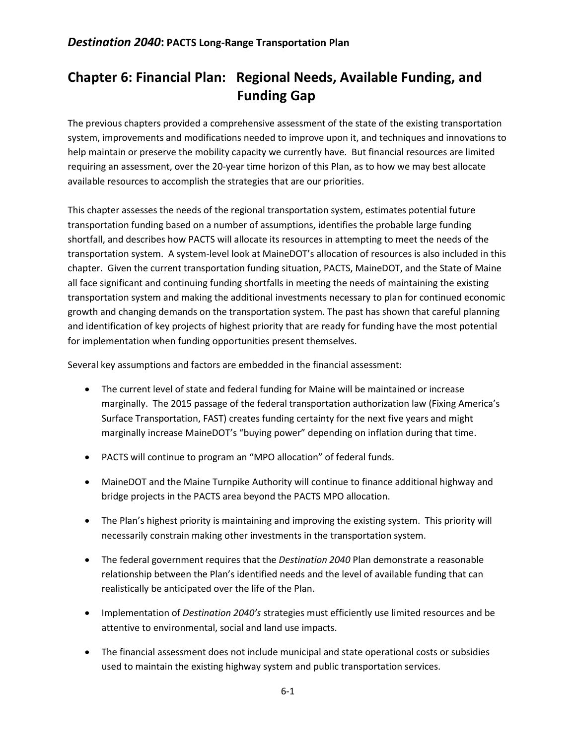# **Chapter 6: Financial Plan: Regional Needs, Available Funding, and Funding Gap**

The previous chapters provided a comprehensive assessment of the state of the existing transportation system, improvements and modifications needed to improve upon it, and techniques and innovations to help maintain or preserve the mobility capacity we currently have. But financial resources are limited requiring an assessment, over the 20-year time horizon of this Plan, as to how we may best allocate available resources to accomplish the strategies that are our priorities.

This chapter assesses the needs of the regional transportation system, estimates potential future transportation funding based on a number of assumptions, identifies the probable large funding shortfall, and describes how PACTS will allocate its resources in attempting to meet the needs of the transportation system. A system-level look at MaineDOT's allocation of resources is also included in this chapter. Given the current transportation funding situation, PACTS, MaineDOT, and the State of Maine all face significant and continuing funding shortfalls in meeting the needs of maintaining the existing transportation system and making the additional investments necessary to plan for continued economic growth and changing demands on the transportation system. The past has shown that careful planning and identification of key projects of highest priority that are ready for funding have the most potential for implementation when funding opportunities present themselves.

Several key assumptions and factors are embedded in the financial assessment:

- The current level of state and federal funding for Maine will be maintained or increase marginally. The 2015 passage of the federal transportation authorization law (Fixing America's Surface Transportation, FAST) creates funding certainty for the next five years and might marginally increase MaineDOT's "buying power" depending on inflation during that time.
- PACTS will continue to program an "MPO allocation" of federal funds.
- MaineDOT and the Maine Turnpike Authority will continue to finance additional highway and bridge projects in the PACTS area beyond the PACTS MPO allocation.
- The Plan's highest priority is maintaining and improving the existing system. This priority will necessarily constrain making other investments in the transportation system.
- The federal government requires that the *Destination 2040* Plan demonstrate a reasonable relationship between the Plan's identified needs and the level of available funding that can realistically be anticipated over the life of the Plan.
- Implementation of *Destination 2040's* strategies must efficiently use limited resources and be attentive to environmental, social and land use impacts.
- The financial assessment does not include municipal and state operational costs or subsidies used to maintain the existing highway system and public transportation services.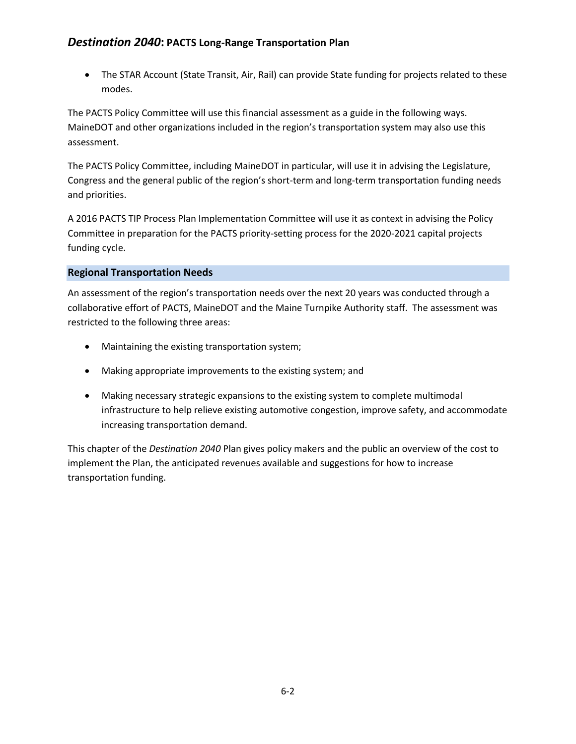# *Destination 2040***: PACTS Long-Range Transportation Plan**

 The STAR Account (State Transit, Air, Rail) can provide State funding for projects related to these modes.

The PACTS Policy Committee will use this financial assessment as a guide in the following ways. MaineDOT and other organizations included in the region's transportation system may also use this assessment.

The PACTS Policy Committee, including MaineDOT in particular, will use it in advising the Legislature, Congress and the general public of the region's short-term and long-term transportation funding needs and priorities.

A 2016 PACTS TIP Process Plan Implementation Committee will use it as context in advising the Policy Committee in preparation for the PACTS priority-setting process for the 2020-2021 capital projects funding cycle.

### **Regional Transportation Needs**

An assessment of the region's transportation needs over the next 20 years was conducted through a collaborative effort of PACTS, MaineDOT and the Maine Turnpike Authority staff. The assessment was restricted to the following three areas:

- Maintaining the existing transportation system;
- Making appropriate improvements to the existing system; and
- Making necessary strategic expansions to the existing system to complete multimodal infrastructure to help relieve existing automotive congestion, improve safety, and accommodate increasing transportation demand.

This chapter of the *Destination 2040* Plan gives policy makers and the public an overview of the cost to implement the Plan, the anticipated revenues available and suggestions for how to increase transportation funding.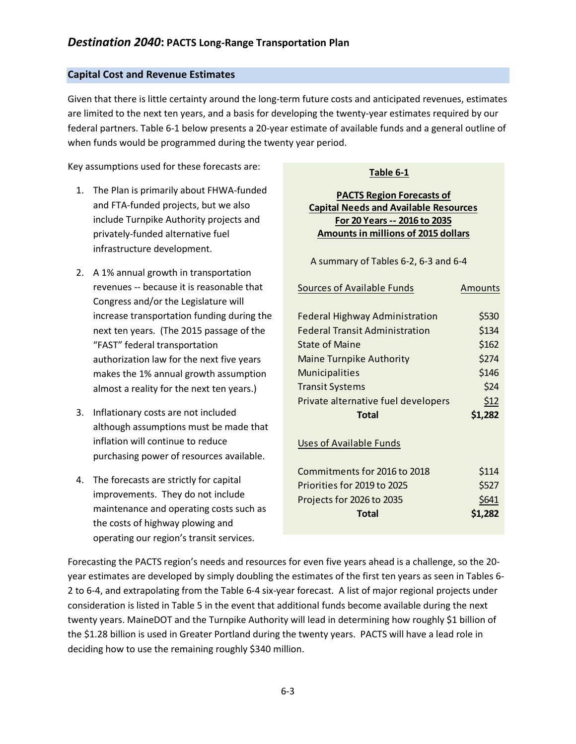### **Capital Cost and Revenue Estimates**

Given that there is little certainty around the long-term future costs and anticipated revenues, estimates are limited to the next ten years, and a basis for developing the twenty-year estimates required by our federal partners. Table 6-1 below presents a 20-year estimate of available funds and a general outline of when funds would be programmed during the twenty year period.

Key assumptions used for these forecasts are:

- 1. The Plan is primarily about FHWA-funded and FTA-funded projects, but we also include Turnpike Authority projects and privately-funded alternative fuel infrastructure development.
- 2. A 1% annual growth in transportation revenues -- because it is reasonable that Congress and/or the Legislature will increase transportation funding during the next ten years. (The 2015 passage of the "FAST" federal transportation authorization law for the next five years makes the 1% annual growth assumption almost a reality for the next ten years.)
- 3. Inflationary costs are not included although assumptions must be made that inflation will continue to reduce purchasing power of resources available.
- 4. The forecasts are strictly for capital improvements. They do not include maintenance and operating costs such as the costs of highway plowing and operating our region's transit services.

# **Table 1 Table 6-1**

#### **PACTS Region Forecasts of Capital Needs and Available Resources For 20 Years -- 2016 to 2035 Amounts in millions of 2015 dollars**

A summary of Tables 6-2, 6-3 and 6-4

| <b>Sources of Available Funds</b>     | Amounts |
|---------------------------------------|---------|
|                                       |         |
| <b>Federal Highway Administration</b> | \$530   |
| <b>Federal Transit Administration</b> | \$134   |
| <b>State of Maine</b>                 | \$162   |
| <b>Maine Turnpike Authority</b>       | \$274   |
| <b>Municipalities</b>                 | \$146   |
| Transit Systems                       | \$24    |
| Private alternative fuel developers   | \$12    |
|                                       |         |
| Total                                 | \$1,282 |
|                                       |         |
| Uses of Available Funds               |         |
|                                       |         |
| Commitments for 2016 to 2018          | \$114   |
| Priorities for 2019 to 2025           | \$527   |
| Projects for 2026 to 2035             | \$641   |
| Total                                 | \$1,282 |

Forecasting the PACTS region's needs and resources for even five years ahead is a challenge, so the 20 year estimates are developed by simply doubling the estimates of the first ten years as seen in Tables 6- 2 to 6-4, and extrapolating from the Table 6-4 six-year forecast. A list of major regional projects under consideration is listed in Table 5 in the event that additional funds become available during the next twenty years. MaineDOT and the Turnpike Authority will lead in determining how roughly \$1 billion of the \$1.28 billion is used in Greater Portland during the twenty years. PACTS will have a lead role in deciding how to use the remaining roughly \$340 million.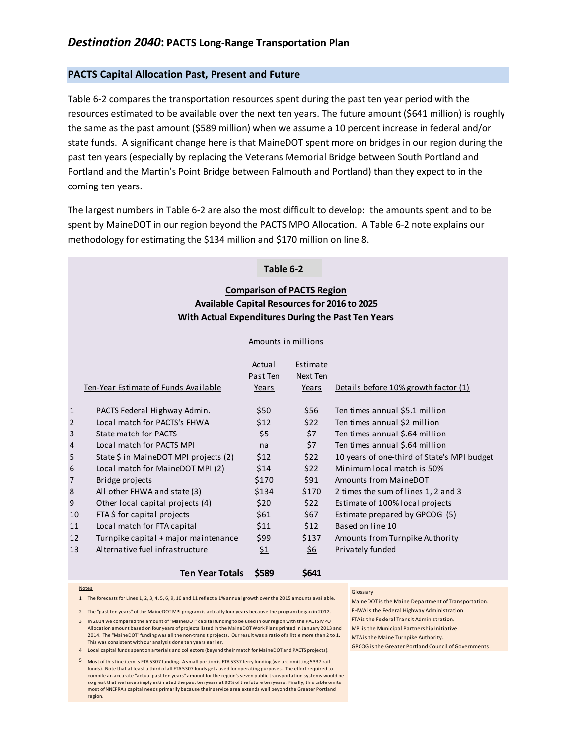#### **PACTS Capital Allocation Past, Present and Future**

Table 6-2 compares the transportation resources spent during the past ten year period with the resources estimated to be available over the next ten years. The future amount (\$641 million) is roughly the same as the past amount (\$589 million) when we assume a 10 percent increase in federal and/or state funds. A significant change here is that MaineDOT spent more on bridges in our region during the past ten years (especially by replacing the Veterans Memorial Bridge between South Portland and Portland and the Martin's Point Bridge between Falmouth and Portland) than they expect to in the coming ten years.

The largest numbers in Table 6-2 are also the most difficult to develop: the amounts spent and to be spent by MaineDOT in our region beyond the PACTS MPO Allocation. A Table 6-2 note explains our methodology for estimating the \$134 million and \$170 million on line 8.

# **Table 2 Table 6-2**

### **Comparison of PACTS Region Available Capital Resources for 2016 to 2025 With Actual Expenditures During the Past Ten Years**

#### Amounts in millions

|              | Ten-Year Estimate of Funds Available  | Actual<br>Past Ten<br>Years | Estimate<br>Next Ten<br>Years | Details before 10% growth factor (1)        |
|--------------|---------------------------------------|-----------------------------|-------------------------------|---------------------------------------------|
| $\mathbf{1}$ | PACTS Federal Highway Admin.          | \$50                        | \$56                          | Ten times annual \$5.1 million              |
| 2            | Local match for PACTS's FHWA          | \$12                        | \$22                          | Ten times annual \$2 million                |
| 3            | State match for PACTS                 | \$5                         | \$7                           | Ten times annual \$.64 million              |
| 4            | Local match for PACTS MPI             | na                          | \$7                           | Ten times annual \$.64 million              |
| 5            | State \$ in MaineDOT MPI projects (2) | \$12                        | \$22                          | 10 years of one-third of State's MPI budget |
| 6            | Local match for MaineDOT MPI (2)      | \$14                        | \$22                          | Minimum local match is 50%                  |
| 7            | Bridge projects                       | \$170                       | \$91                          | Amounts from MaineDOT                       |
| 8            | All other FHWA and state (3)          | \$134                       | \$170                         | 2 times the sum of lines 1, 2 and 3         |
| 9            | Other local capital projects (4)      | \$20                        | \$22                          | Estimate of 100% local projects             |
| 10           | FTA \$ for capital projects           | \$61                        | \$67                          | Estimate prepared by GPCOG (5)              |
| 11           | Local match for FTA capital           | \$11                        | \$12                          | Based on line 10                            |
| 12           | Turnpike capital + major maintenance  | \$99                        | \$137                         | Amounts from Turnpike Authority             |
| 13           | Alternative fuel infrastructure       | <u>\$1</u>                  | \$6                           | Privately funded                            |

#### Notes

1 The forecasts for Lines 1, 2, 3, 4, 5, 6, 9, 10 and 11 reflect a 1% annual growth over the 2015 amounts available.

**Ten Year Totals \$589 \$641**

2 The "past ten years" of the MaineDOT MPI program is actually four years because the program began in 2012.

3 In 2014 we compared the amount of "MaineDOT" capital funding to be used in our region with the PACTS MPO Allocation amount based on four years of projects listed in the MaineDOT Work Plans printed in January 2013 and MPI is the Municipal Partnership Initiative. 2014. The "MaineDOT" funding was all the non-transit projects. Our result was a ratio of a little more than 2 to 1. This was consistent with our analysis done ten years earlier.

4 Local capital funds spent on arterials and collectors (beyond their match for MaineDOT and PACTS projects).

most of NNEPRA's capital needs primarily because their service area extends well beyond the Greater Portland<br>region 5 Most of this line item is FTA 5307 funding. A small portion is FTA 5337 ferry funding (we are omitting 5337 rail funds). Note that at least a third of all FTA 5307 funds gets used for operating purposes. The effort required to compile an accurate "actual past ten years" amount for the region's seven public transportation systems would be so great that we have simply estimated the past ten years at 90% of the future ten years. Finally, this table omits region.

#### Glossary

MaineDOT is the Maine Department of Transportation. FHWA is the Federal Highway Administration. FTA is the Federal Transit Administration. MTA is the Maine Turnpike Authority. GPCOG is the Greater Portland Council of Governments.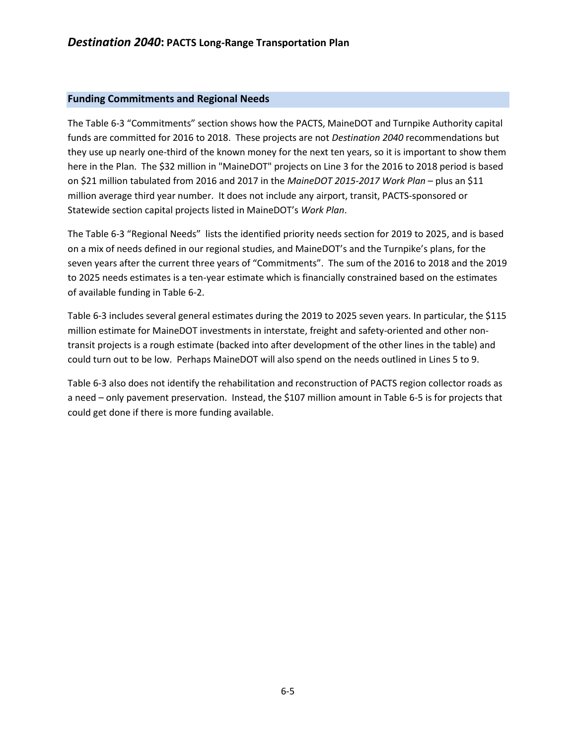#### **Funding Commitments and Regional Needs**

The Table 6-3 "Commitments" section shows how the PACTS, MaineDOT and Turnpike Authority capital funds are committed for 2016 to 2018. These projects are not *Destination 2040* recommendations but they use up nearly one-third of the known money for the next ten years, so it is important to show them here in the Plan. The \$32 million in "MaineDOT" projects on Line 3 for the 2016 to 2018 period is based on \$21 million tabulated from 2016 and 2017 in the *MaineDOT 2015-2017 Work Plan* – plus an \$11 million average third year number. It does not include any airport, transit, PACTS-sponsored or Statewide section capital projects listed in MaineDOT's *Work Plan*.

The Table 6-3 "Regional Needs" lists the identified priority needs section for 2019 to 2025, and is based on a mix of needs defined in our regional studies, and MaineDOT's and the Turnpike's plans, for the seven years after the current three years of "Commitments". The sum of the 2016 to 2018 and the 2019 to 2025 needs estimates is a ten-year estimate which is financially constrained based on the estimates of available funding in Table 6-2.

Table 6-3 includes several general estimates during the 2019 to 2025 seven years. In particular, the \$115 million estimate for MaineDOT investments in interstate, freight and safety-oriented and other nontransit projects is a rough estimate (backed into after development of the other lines in the table) and could turn out to be low. Perhaps MaineDOT will also spend on the needs outlined in Lines 5 to 9.

Table 6-3 also does not identify the rehabilitation and reconstruction of PACTS region collector roads as a need – only pavement preservation. Instead, the \$107 million amount in Table 6-5 is for projects that could get done if there is more funding available.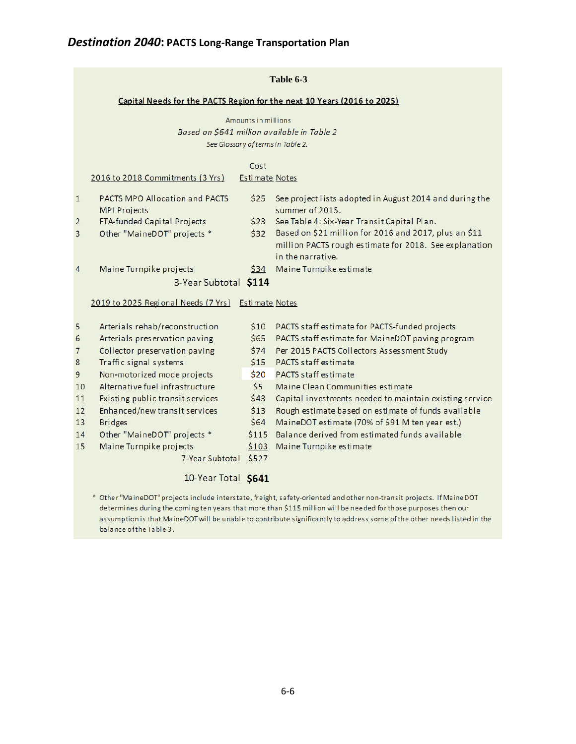# *Destination 2040***: PACTS Long-Range Transportation Plan**

|                |                                                                                  |                        | Table 6-3                                                                                                                            |  |  |  |
|----------------|----------------------------------------------------------------------------------|------------------------|--------------------------------------------------------------------------------------------------------------------------------------|--|--|--|
|                | Capital Needs for the PACTS Region for the next 10 Years (2016 to 2025)          |                        |                                                                                                                                      |  |  |  |
|                | Amounts in millions                                                              |                        |                                                                                                                                      |  |  |  |
|                | Based on \$641 million available in Table 2<br>See Glossary of terms in Table 2. |                        |                                                                                                                                      |  |  |  |
|                |                                                                                  |                        |                                                                                                                                      |  |  |  |
|                | 2016 to 2018 Commitments (3 Yrs)                                                 | Cost<br>Estimate Notes |                                                                                                                                      |  |  |  |
|                |                                                                                  |                        |                                                                                                                                      |  |  |  |
| $\mathbf{1}$   | PACTS MPO Allocation and PACTS<br><b>MPI Projects</b>                            | \$25                   | See project lists adopted in August 2014 and during the<br>summer of 2015.                                                           |  |  |  |
| $\overline{2}$ | FTA-funded Capital Projects                                                      | \$23                   | See Table 4: Six-Year Transit Capital Plan.                                                                                          |  |  |  |
| 3              | Other "MaineDOT" projects *                                                      | \$32                   | Based on \$21 million for 2016 and 2017, plus an \$11<br>million PACTS rough estimate for 2018. See explanation<br>in the narrative. |  |  |  |
| 4              | Maine Turnpike projects                                                          | 534                    | Maine Turnpike estimate                                                                                                              |  |  |  |
|                | 3-Year Subtotal \$114                                                            |                        |                                                                                                                                      |  |  |  |
|                | 2019 to 2025 Regional Needs (7 Yrs) Estimate Notes                               |                        |                                                                                                                                      |  |  |  |
| 5              | Arterials rehab/reconstruction                                                   | \$10                   | PACTS staff estimate for PACTS-funded projects                                                                                       |  |  |  |
| 6              | Arterials preservation paving                                                    | \$65                   | PACTS staff estimate for MaineDOT paving program                                                                                     |  |  |  |
| 7              | Collector preservation paving                                                    | \$74                   | Per 2015 PACTS Collectors Assessment Study                                                                                           |  |  |  |
| 8              | Traffic signal systems                                                           | \$15                   | PACTS staff estimate                                                                                                                 |  |  |  |
| 9              | Non-motorized mode projects                                                      | \$20                   | PACTS staff estimate                                                                                                                 |  |  |  |
| 10             | Alternative fuel infrastructure                                                  | \$5                    | Maine Clean Communities estimate                                                                                                     |  |  |  |
| 11             | Existing public transit services                                                 | \$43                   | Capital investments needed to maintain existing service                                                                              |  |  |  |
| 12             | Enhanced/new transit services                                                    | \$13                   | Rough estimate based on estimate of funds available                                                                                  |  |  |  |
| 13             | <b>Bridges</b>                                                                   | \$64                   | MaineDOT estimate (70% of \$91 M ten year est.)                                                                                      |  |  |  |
| 14             | Other "MaineDOT" projects *                                                      | \$115                  | Balance derived from estimated funds available                                                                                       |  |  |  |
| 15             | Maine Turnpike projects                                                          | \$103                  | Maine Turnpike estimate                                                                                                              |  |  |  |
|                | 7-Year Subtotal                                                                  | \$527                  |                                                                                                                                      |  |  |  |
|                |                                                                                  |                        |                                                                                                                                      |  |  |  |

## 10-Year Total \$641

\* Other "MaineDOT" projects include interstate, freight, safety-oriented and other non-transit projects. If MaineDOT determines during the coming ten years that more than \$115 million will be needed for those purposes then our assumption is that MaineDOT will be unable to contribute significantly to address some of the other needs listed in the balance of the Table 3.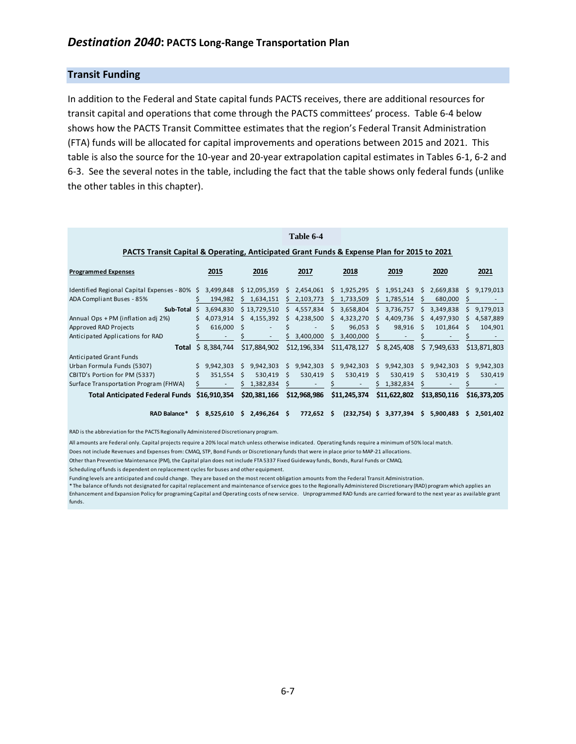#### **Transit Funding**

In addition to the Federal and State capital funds PACTS receives, there are additional resources for transit capital and operations that come through the PACTS committees' process. Table 6-4 below shows how the PACTS Transit Committee estimates that the region's Federal Transit Administration (FTA) funds will be allocated for capital improvements and operations between 2015 and 2021. This table is also the source for the 10-year and 20-year extrapolation capital estimates in Tables 6-1, 6-2 and 6-3. See the several notes in the table, including the fact that the table shows only federal funds (unlike the other tables in this chapter).

|                                                                                            |    |              |              |                          |   | Table 6-4    |    |                |    |              |   |              |    |              |
|--------------------------------------------------------------------------------------------|----|--------------|--------------|--------------------------|---|--------------|----|----------------|----|--------------|---|--------------|----|--------------|
| PACTS Transit Capital & Operating, Anticipated Grant Funds & Expense Plan for 2015 to 2021 |    |              |              |                          |   |              |    |                |    |              |   |              |    |              |
| <b>Programmed Expenses</b>                                                                 |    | 2015         |              | 2016                     |   | 2017         |    | 2018           |    | 2019         |   | 2020         |    | 2021         |
| Identified Regional Capital Expenses - 80% \$                                              |    | 3,499,848    |              | \$12,095,359             | S | 2,454,061    | S. | 1,925,295      |    | 1,951,243    | S | 2,669,838    | S  | 9,179,013    |
| ADA Compliant Buses - 85%                                                                  |    | 194,982      | S            | 1,634,151                | S | 2,103,773    | S. | 1,733,509      |    | 1,785,514    |   | 680,000      |    |              |
| Sub-Total                                                                                  | S. | 3,694,830    |              | \$13,729,510             | S | 4,557,834    | S. | 3,658,804      | ς  | 3,736,757    | S | 3,349,838    | S. | 9,179,013    |
| Annual Ops + PM (inflation adj 2%)                                                         | S. | 4,073,914    | s            | 4,155,392                | S | 4,238,500    | S. | 4,323,270      |    | 4,409,736    | S | 4,497,930    |    | 4,587,889    |
| Approved RAD Projects                                                                      |    | 616,000      | -S           | $\overline{\phantom{a}}$ |   | ٠            | Ś  | 96,053         | -S | 98,916       | ς | 101,864      | S  | 104,901      |
| Anticipated Applications for RAD                                                           |    |              |              | ٠                        |   | 3,400,000    | S. | 3,400,000      |    |              |   |              |    |              |
| Total                                                                                      | Ŝ. | 8,384,744    |              | \$17,884,902             |   | \$12,196,334 |    | \$11,478,127   |    | \$8,245,408  |   | \$7,949,633  |    | \$13,871,803 |
| Anticipated Grant Funds                                                                    |    |              |              |                          |   |              |    |                |    |              |   |              |    |              |
| Urban Formula Funds (5307)                                                                 |    | 9,942,303    | S.           | 9,942,303                | S | 9,942,303    | S. | 9,942,303      | S  | 9,942,303    | S | 9,942,303    | S. | 9,942,303    |
| CBITD's Portion for PM (5337)                                                              | Ś  | 351,554      | <sub>S</sub> | 530,419                  | S | 530,419      | S  | 530,419        | S  | 530,419      | S | 530,419      | S  | 530,419      |
| Surface Transportation Program (FHWA)                                                      |    |              |              | 1,382,834                |   |              |    |                |    | 1,382,834    |   |              |    |              |
| <b>Total Anticipated Federal Funds</b>                                                     |    | \$16,910,354 |              | \$20,381,166             |   | \$12,968,986 |    | \$11,245,374   |    | \$11,622,802 |   | \$13,850,116 |    | \$16,373,205 |
| RAD Balance*                                                                               |    | \$3,525,610  | S            | 2,496,264                | S | 772,652      | -S | $(232,754)$ \$ |    | 3,377,394    | S | 5,900,483    | Ś. | 2,501,402    |

RAD is the abbreviation for the PACTS Regionally Administered Discretionary program.

All amounts are Federal only. Capital projects require a 20% local match unless otherwise indicated. Operating funds require a minimum of 50% local match.

Does not include Revenues and Expenses from: CMAQ, STP, Bond Funds or Discretionary funds that were in place prior to MAP-21 allocations.

Other than Preventive Maintenance (PM), the Capital plan does not include FTA 5337 Fixed Guideway funds, Bonds, Rural Funds or CMAQ.

Scheduling of funds is dependent on replacement cycles for buses and other equipment.

Funding levels are anticipated and could change. They are based on the most recent obligation amounts from the Federal Transit Administration.

\* The balance of funds not designated for capital replacement and maintenance of service goes to the Regionally Administered Discretionary (RAD) program which applies an Enhancement and Expansion Policy for programing Capital and Operating costs of new service. Unprogrammed RAD funds are carried forward to the next year as available grant funds.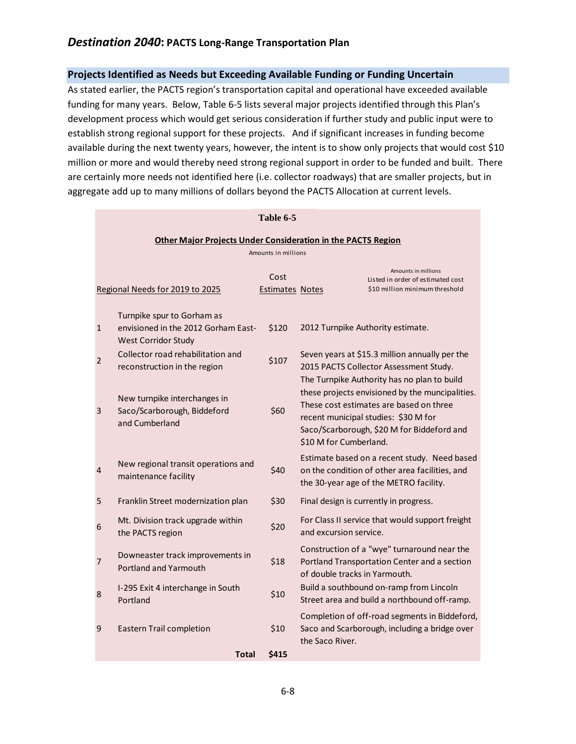## *Destination 2040***: PACTS Long-Range Transportation Plan**

#### **Projects Identified as Needs but Exceeding Available Funding or Funding Uncertain**

As stated earlier, the PACTS region's transportation capital and operational have exceeded available funding for many years. Below, Table 6-5 lists several major projects identified through this Plan's development process which would get serious consideration if further study and public input were to establish strong regional support for these projects. And if significant increases in funding become available during the next twenty years, however, the intent is to show only projects that would cost \$10 million or more and would thereby need strong regional support in order to be funded and built. There are certainly more needs not identified here (i.e. collector roadways) that are smaller projects, but in aggregate add up to many millions of dollars beyond the PACTS Allocation at current levels.

|                |                                                                                                 | Table 6-5                      |                                                                                                                                                                                                                                                           |
|----------------|-------------------------------------------------------------------------------------------------|--------------------------------|-----------------------------------------------------------------------------------------------------------------------------------------------------------------------------------------------------------------------------------------------------------|
|                |                                                                                                 |                                | Other Major Projects Under Consideration in the PACTS Region                                                                                                                                                                                              |
|                |                                                                                                 | Amounts in millions            |                                                                                                                                                                                                                                                           |
|                | Regional Needs for 2019 to 2025                                                                 | Cost<br><b>Estimates Notes</b> | Amounts in millions<br>Listed in order of estimated cost<br>\$10 million minimum threshold                                                                                                                                                                |
| $\mathbf{1}$   | Turnpike spur to Gorham as<br>envisioned in the 2012 Gorham East-<br><b>West Corridor Study</b> | \$120                          | 2012 Turnpike Authority estimate.                                                                                                                                                                                                                         |
| $\overline{2}$ | Collector road rehabilitation and<br>reconstruction in the region                               | \$107                          | Seven years at \$15.3 million annually per the<br>2015 PACTS Collector Assessment Study.                                                                                                                                                                  |
| 3              | New turnpike interchanges in<br>Saco/Scarborough, Biddeford<br>and Cumberland                   | \$60                           | The Turnpike Authority has no plan to build<br>these projects envisioned by the muncipalities.<br>These cost estimates are based on three<br>recent municipal studies: \$30 M for<br>Saco/Scarborough, \$20 M for Biddeford and<br>\$10 M for Cumberland. |
| 4              | New regional transit operations and<br>maintenance facility                                     | \$40                           | Estimate based on a recent study. Need based<br>on the condition of other area facilities, and<br>the 30-year age of the METRO facility.                                                                                                                  |
| 5              | Franklin Street modernization plan                                                              | \$30                           | Final design is currently in progress.                                                                                                                                                                                                                    |
| 6              | Mt. Division track upgrade within<br>the PACTS region                                           | \$20                           | For Class II service that would support freight<br>and excursion service.                                                                                                                                                                                 |
| 7              | Downeaster track improvements in<br>Portland and Yarmouth                                       | \$18                           | Construction of a "wye" turnaround near the<br>Portland Transportation Center and a section<br>of double tracks in Yarmouth.                                                                                                                              |
| 8              | I-295 Exit 4 interchange in South<br>Portland                                                   | \$10                           | Build a southbound on-ramp from Lincoln<br>Street area and build a northbound off-ramp.                                                                                                                                                                   |
| 9              | <b>Eastern Trail completion</b>                                                                 | \$10                           | Completion of off-road segments in Biddeford,<br>Saco and Scarborough, including a bridge over<br>the Saco River.                                                                                                                                         |
|                | Total                                                                                           | <b>\$415</b>                   |                                                                                                                                                                                                                                                           |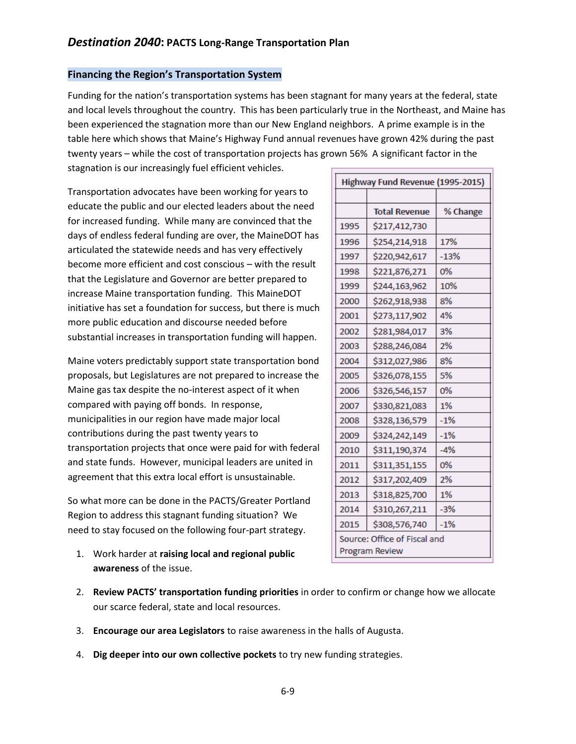#### **Financing the Region's Transportation System**

Funding for the nation's transportation systems has been stagnant for many years at the federal, state and local levels throughout the country. This has been particularly true in the Northeast, and Maine has been experienced the stagnation more than our New England neighbors. A prime example is in the table here which shows that Maine's Highway Fund annual revenues have grown 42% during the past twenty years – while the cost of transportation projects has grown 56% A significant factor in the stagnation is our increasingly fuel efficient vehicles.  $\blacksquare$ 

Transportation advocates have been working for years to educate the public and our elected leaders about the need for increased funding. While many are convinced that the days of endless federal funding are over, the MaineDOT has articulated the statewide needs and has very effectively become more efficient and cost conscious – with the result that the Legislature and Governor are better prepared to increase Maine transportation funding. This MaineDOT initiative has set a foundation for success, but there is much more public education and discourse needed before substantial increases in transportation funding will happen.

Maine voters predictably support state transportation bond proposals, but Legislatures are not prepared to increase the Maine gas tax despite the no-interest aspect of it when compared with paying off bonds. In response, municipalities in our region have made major local contributions during the past twenty years to transportation projects that once were paid for with federal and state funds. However, municipal leaders are united in agreement that this extra local effort is unsustainable.

So what more can be done in the PACTS/Greater Portland Region to address this stagnant funding situation? We need to stay focused on the following four-part strategy.

1. Work harder at **raising local and regional public awareness** of the issue.

| Highway Fund Revenue (1995-2015)               |                      |          |  |  |  |
|------------------------------------------------|----------------------|----------|--|--|--|
|                                                |                      |          |  |  |  |
|                                                | <b>Total Revenue</b> | % Change |  |  |  |
| 1995                                           | \$217,412,730        |          |  |  |  |
| 1996                                           | \$254,214,918        | 17%      |  |  |  |
| 1997                                           | \$220,942,617        | $-13%$   |  |  |  |
| 1998                                           | \$221,876,271        | 0%       |  |  |  |
| 1999                                           | \$244,163,962        | 10%      |  |  |  |
| 2000                                           | \$262,918,938        | 8%       |  |  |  |
| 2001                                           | \$273,117,902        | 4%       |  |  |  |
| 2002                                           | \$281,984,017        | 3%       |  |  |  |
| 2003                                           | \$288,246,084        | 2%       |  |  |  |
| 2004                                           | \$312,027,986        | 8%       |  |  |  |
| 2005                                           | \$326,078,155        | 5%       |  |  |  |
| 2006                                           | \$326,546,157        | 0%       |  |  |  |
| 2007                                           | \$330,821,083        | 1%       |  |  |  |
| 2008                                           | \$328,136,579        | $-1%$    |  |  |  |
| 2009                                           | \$324,242,149        | $-1%$    |  |  |  |
| 2010                                           | \$311,190,374        | $-4%$    |  |  |  |
| 2011                                           | \$311,351,155        | 0%       |  |  |  |
| 2012                                           | \$317,202,409        | 2%       |  |  |  |
| 2013                                           | \$318,825,700        | 1%       |  |  |  |
| 2014                                           | \$310,267,211        | $-3%$    |  |  |  |
| 2015                                           | \$308,576,740        | $-1%$    |  |  |  |
| Source: Office of Fiscal and<br>Program Review |                      |          |  |  |  |

- 2. **Review PACTS' transportation funding priorities** in order to confirm or change how we allocate our scarce federal, state and local resources.
- 3. **Encourage our area Legislators** to raise awareness in the halls of Augusta.
- 4. **Dig deeper into our own collective pockets** to try new funding strategies.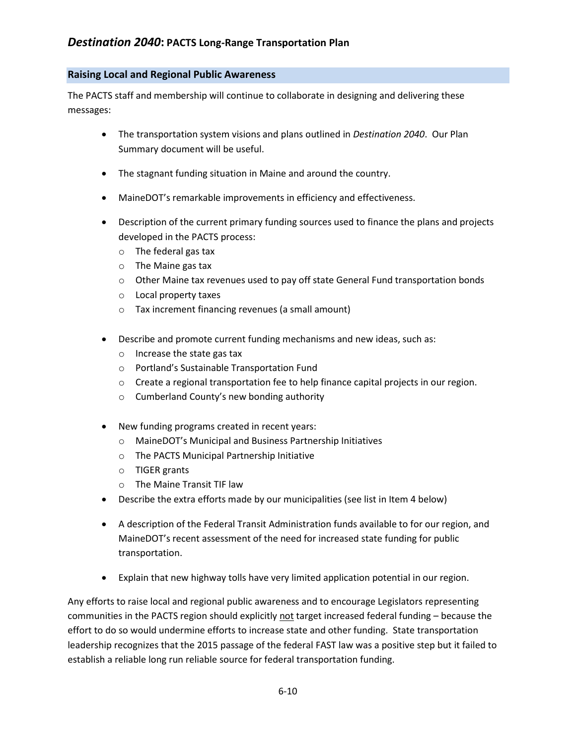#### **Raising Local and Regional Public Awareness**

The PACTS staff and membership will continue to collaborate in designing and delivering these messages:

- The transportation system visions and plans outlined in *Destination 2040*. Our Plan Summary document will be useful.
- The stagnant funding situation in Maine and around the country.
- MaineDOT's remarkable improvements in efficiency and effectiveness.
- Description of the current primary funding sources used to finance the plans and projects developed in the PACTS process:
	- o The federal gas tax
	- o The Maine gas tax
	- $\circ$  Other Maine tax revenues used to pay off state General Fund transportation bonds
	- o Local property taxes
	- o Tax increment financing revenues (a small amount)
- Describe and promote current funding mechanisms and new ideas, such as:
	- o Increase the state gas tax
	- o Portland's Sustainable Transportation Fund
	- o Create a regional transportation fee to help finance capital projects in our region.
	- o Cumberland County's new bonding authority
- New funding programs created in recent years:
	- o MaineDOT's Municipal and Business Partnership Initiatives
	- o The PACTS Municipal Partnership Initiative
	- o TIGER grants
	- o The Maine Transit TIF law
- Describe the extra efforts made by our municipalities (see list in Item 4 below)
- A description of the Federal Transit Administration funds available to for our region, and MaineDOT's recent assessment of the need for increased state funding for public transportation.
- Explain that new highway tolls have very limited application potential in our region.

Any efforts to raise local and regional public awareness and to encourage Legislators representing communities in the PACTS region should explicitly not target increased federal funding – because the effort to do so would undermine efforts to increase state and other funding. State transportation leadership recognizes that the 2015 passage of the federal FAST law was a positive step but it failed to establish a reliable long run reliable source for federal transportation funding.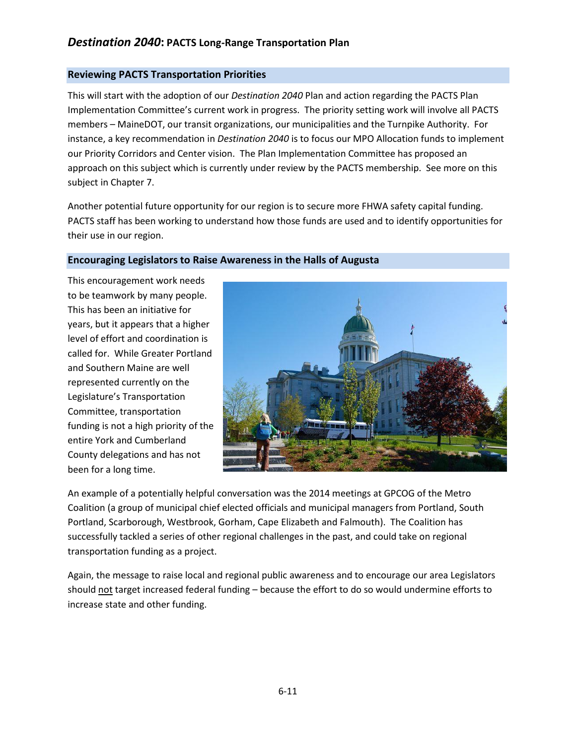### **Reviewing PACTS Transportation Priorities**

This will start with the adoption of our *Destination 2040* Plan and action regarding the PACTS Plan Implementation Committee's current work in progress. The priority setting work will involve all PACTS members – MaineDOT, our transit organizations, our municipalities and the Turnpike Authority. For instance, a key recommendation in *Destination 2040* is to focus our MPO Allocation funds to implement our Priority Corridors and Center vision. The Plan Implementation Committee has proposed an approach on this subject which is currently under review by the PACTS membership. See more on this subject in Chapter 7.

Another potential future opportunity for our region is to secure more FHWA safety capital funding. PACTS staff has been working to understand how those funds are used and to identify opportunities for their use in our region.

#### **Encouraging Legislators to Raise Awareness in the Halls of Augusta**

This encouragement work needs to be teamwork by many people. This has been an initiative for years, but it appears that a higher level of effort and coordination is called for. While Greater Portland and Southern Maine are well represented currently on the Legislature's Transportation Committee, transportation funding is not a high priority of the entire York and Cumberland County delegations and has not been for a long time.



An example of a potentially helpful conversation was the 2014 meetings at GPCOG of the Metro Coalition (a group of municipal chief elected officials and municipal managers from Portland, South Portland, Scarborough, Westbrook, Gorham, Cape Elizabeth and Falmouth). The Coalition has successfully tackled a series of other regional challenges in the past, and could take on regional transportation funding as a project.

Again, the message to raise local and regional public awareness and to encourage our area Legislators should not target increased federal funding – because the effort to do so would undermine efforts to increase state and other funding.